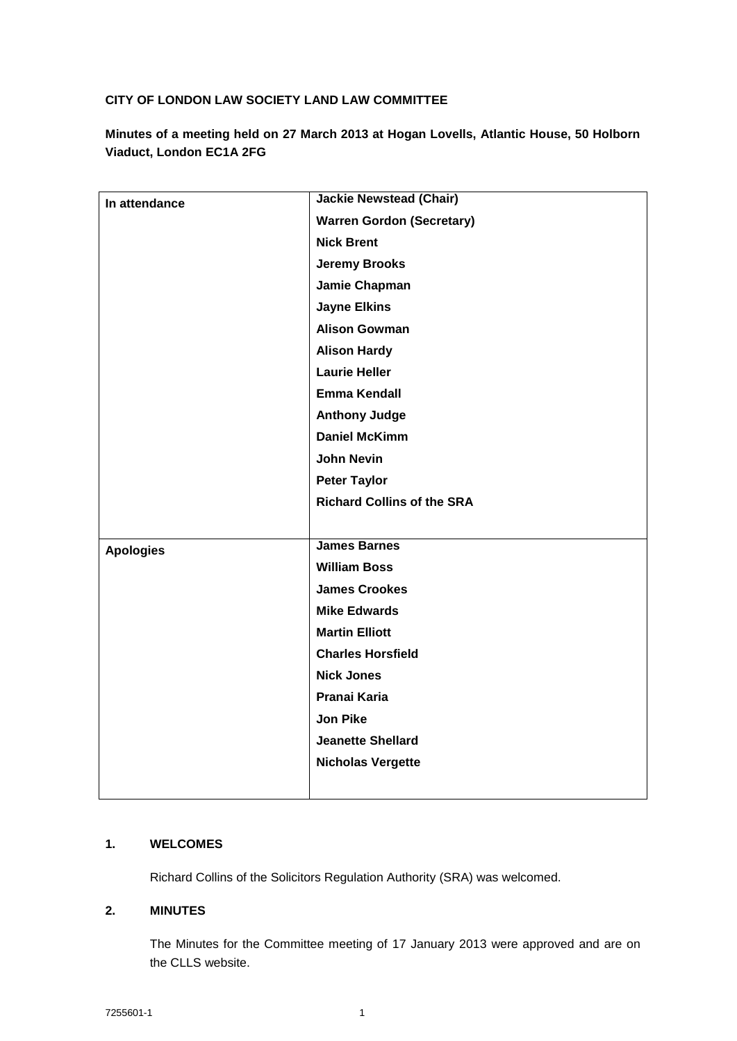# **CITY OF LONDON LAW SOCIETY LAND LAW COMMITTEE**

**Minutes of a meeting held on 27 March 2013 at Hogan Lovells, Atlantic House, 50 Holborn Viaduct, London EC1A 2FG**

| In attendance    | <b>Jackie Newstead (Chair)</b>    |
|------------------|-----------------------------------|
|                  | <b>Warren Gordon (Secretary)</b>  |
|                  | <b>Nick Brent</b>                 |
|                  | <b>Jeremy Brooks</b>              |
|                  | Jamie Chapman                     |
|                  | <b>Jayne Elkins</b>               |
|                  | <b>Alison Gowman</b>              |
|                  | <b>Alison Hardy</b>               |
|                  | <b>Laurie Heller</b>              |
|                  | <b>Emma Kendall</b>               |
|                  | <b>Anthony Judge</b>              |
|                  | <b>Daniel McKimm</b>              |
|                  | <b>John Nevin</b>                 |
|                  | <b>Peter Taylor</b>               |
|                  | <b>Richard Collins of the SRA</b> |
|                  |                                   |
| <b>Apologies</b> | <b>James Barnes</b>               |
|                  |                                   |
|                  | <b>William Boss</b>               |
|                  | <b>James Crookes</b>              |
|                  | <b>Mike Edwards</b>               |
|                  | <b>Martin Elliott</b>             |
|                  | <b>Charles Horsfield</b>          |
|                  | <b>Nick Jones</b>                 |
|                  | Pranai Karia                      |
|                  | <b>Jon Pike</b>                   |
|                  | <b>Jeanette Shellard</b>          |
|                  | <b>Nicholas Vergette</b>          |
|                  |                                   |

### **1. WELCOMES**

Richard Collins of the Solicitors Regulation Authority (SRA) was welcomed.

# **2. MINUTES**

The Minutes for the Committee meeting of 17 January 2013 were approved and are on the CLLS website.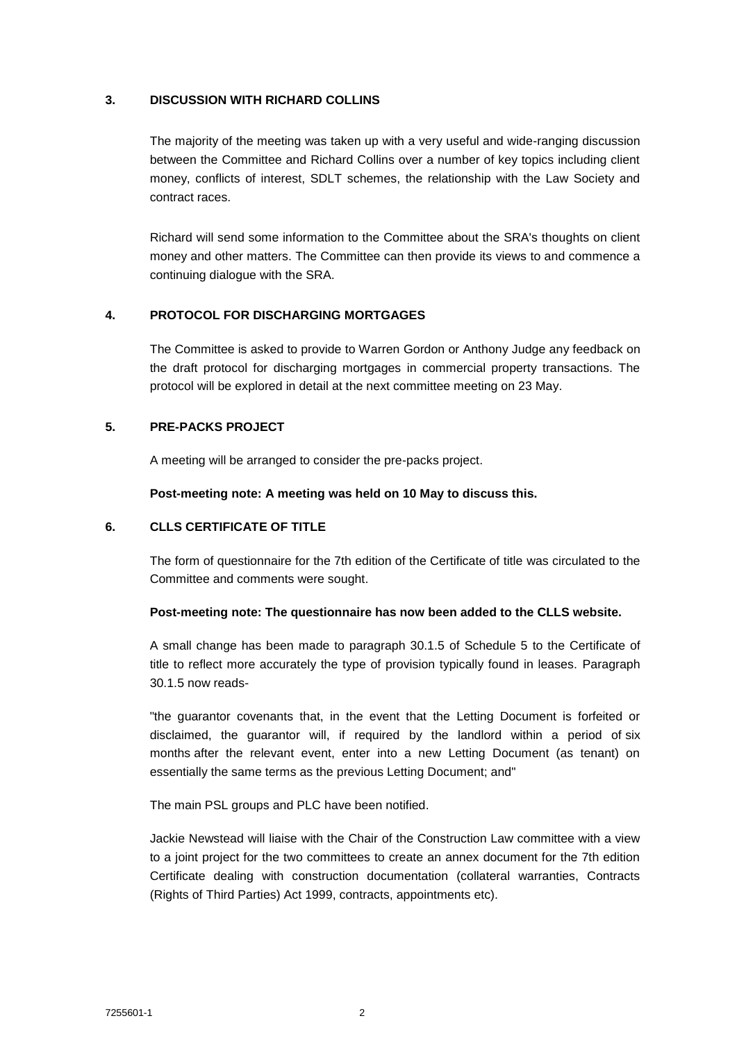### **3. DISCUSSION WITH RICHARD COLLINS**

The majority of the meeting was taken up with a very useful and wide-ranging discussion between the Committee and Richard Collins over a number of key topics including client money, conflicts of interest, SDLT schemes, the relationship with the Law Society and contract races.

Richard will send some information to the Committee about the SRA's thoughts on client money and other matters. The Committee can then provide its views to and commence a continuing dialogue with the SRA.

## **4. PROTOCOL FOR DISCHARGING MORTGAGES**

The Committee is asked to provide to Warren Gordon or Anthony Judge any feedback on the draft protocol for discharging mortgages in commercial property transactions. The protocol will be explored in detail at the next committee meeting on 23 May.

## **5. PRE-PACKS PROJECT**

A meeting will be arranged to consider the pre-packs project.

**Post-meeting note: A meeting was held on 10 May to discuss this.**

## **6. CLLS CERTIFICATE OF TITLE**

The form of questionnaire for the 7th edition of the Certificate of title was circulated to the Committee and comments were sought.

### **Post-meeting note: The questionnaire has now been added to the CLLS website.**

A small change has been made to paragraph 30.1.5 of Schedule 5 to the Certificate of title to reflect more accurately the type of provision typically found in leases. Paragraph 30.1.5 now reads-

"the guarantor covenants that, in the event that the Letting Document is forfeited or disclaimed, the guarantor will, if required by the landlord within a period of six months after the relevant event, enter into a new Letting Document (as tenant) on essentially the same terms as the previous Letting Document; and"

The main PSL groups and PLC have been notified.

Jackie Newstead will liaise with the Chair of the Construction Law committee with a view to a joint project for the two committees to create an annex document for the 7th edition Certificate dealing with construction documentation (collateral warranties, Contracts (Rights of Third Parties) Act 1999, contracts, appointments etc).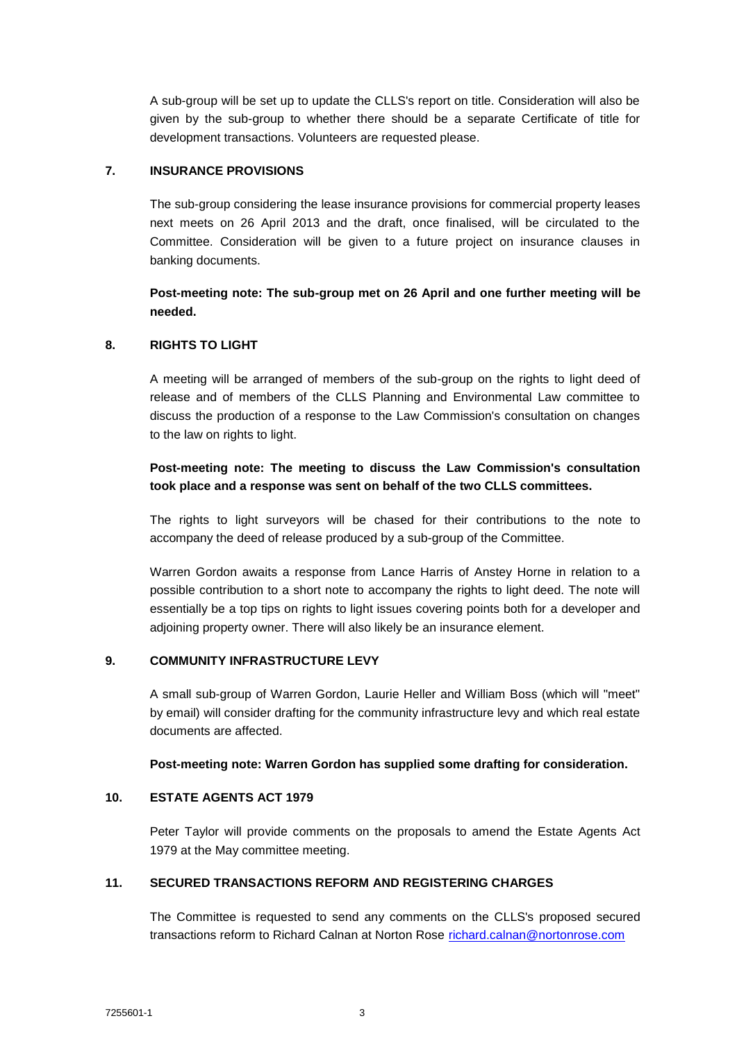A sub-group will be set up to update the CLLS's report on title. Consideration will also be given by the sub-group to whether there should be a separate Certificate of title for development transactions. Volunteers are requested please.

## **7. INSURANCE PROVISIONS**

The sub-group considering the lease insurance provisions for commercial property leases next meets on 26 April 2013 and the draft, once finalised, will be circulated to the Committee. Consideration will be given to a future project on insurance clauses in banking documents.

# **Post-meeting note: The sub-group met on 26 April and one further meeting will be needed.**

## **8. RIGHTS TO LIGHT**

A meeting will be arranged of members of the sub-group on the rights to light deed of release and of members of the CLLS Planning and Environmental Law committee to discuss the production of a response to the Law Commission's consultation on changes to the law on rights to light.

# **Post-meeting note: The meeting to discuss the Law Commission's consultation took place and a response was sent on behalf of the two CLLS committees.**

The rights to light surveyors will be chased for their contributions to the note to accompany the deed of release produced by a sub-group of the Committee.

Warren Gordon awaits a response from Lance Harris of Anstey Horne in relation to a possible contribution to a short note to accompany the rights to light deed. The note will essentially be a top tips on rights to light issues covering points both for a developer and adjoining property owner. There will also likely be an insurance element.

# **9. COMMUNITY INFRASTRUCTURE LEVY**

A small sub-group of Warren Gordon, Laurie Heller and William Boss (which will "meet" by email) will consider drafting for the community infrastructure levy and which real estate documents are affected.

### **Post-meeting note: Warren Gordon has supplied some drafting for consideration.**

# **10. ESTATE AGENTS ACT 1979**

Peter Taylor will provide comments on the proposals to amend the Estate Agents Act 1979 at the May committee meeting.

# **11. SECURED TRANSACTIONS REFORM AND REGISTERING CHARGES**

The Committee is requested to send any comments on the CLLS's proposed secured transactions reform to Richard Calnan at Norton Rose [richard.calnan@nortonrose.com](mailto:richard.calnan@nortonrose.com)